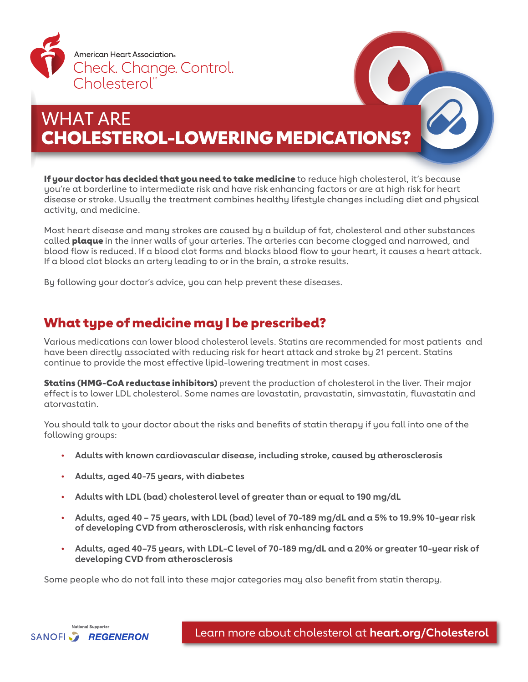

# WHAT ARE CHOLESTEROL-LOWERING MEDICATIONS?

If your doctor has decided that you need to take medicine to reduce high cholesterol, it's because you're at borderline to intermediate risk and have risk enhancing factors or are at high risk for heart disease or stroke. Usually the treatment combines healthy lifestyle changes including diet and physical activity, and medicine.

Most heart disease and many strokes are caused by a buildup of fat, cholesterol and other substances called **plaque** in the inner walls of your arteries. The arteries can become clogged and narrowed, and blood flow is reduced. If a blood clot forms and blocks blood flow to your heart, it causes a heart attack. If a blood clot blocks an artery leading to or in the brain, a stroke results.

By following your doctor's advice, you can help prevent these diseases.

### What type of medicine may I be prescribed?

Various medications can lower blood cholesterol levels. Statins are recommended for most patients and have been directly associated with reducing risk for heart attack and stroke by 21 percent. Statins continue to provide the most effective lipid-lowering treatment in most cases.

Statins (HMG-CoA reductase inhibitors) prevent the production of cholesterol in the liver. Their major effect is to lower LDL cholesterol. Some names are lovastatin, pravastatin, simvastatin, fluvastatin and atorvastatin.

You should talk to your doctor about the risks and benefits of statin therapy if you fall into one of the following groups:

- **Adults with known cardiovascular disease, including stroke, caused by atherosclerosis**
- **Adults, aged 40-75 years, with diabetes**
- **Adults with LDL (bad) cholesterol level of greater than or equal to 190 mg/dL**
- **Adults, aged 40 75 years, with LDL (bad) level of 70-189 mg/dL and a 5% to 19.9% 10-year risk of developing CVD from atherosclerosis, with risk enhancing factors**
- **Adults, aged 40–75 years, with LDL-C level of 70-189 mg/dL and a 20% or greater 10-year risk of developing CVD from atherosclerosis**

Some people who do not fall into these major categories may also benefit from statin therapy.



Learn more about cholesterol at **[heart.org/Cholesterol](http://www.heart.org/Cholesterol)**